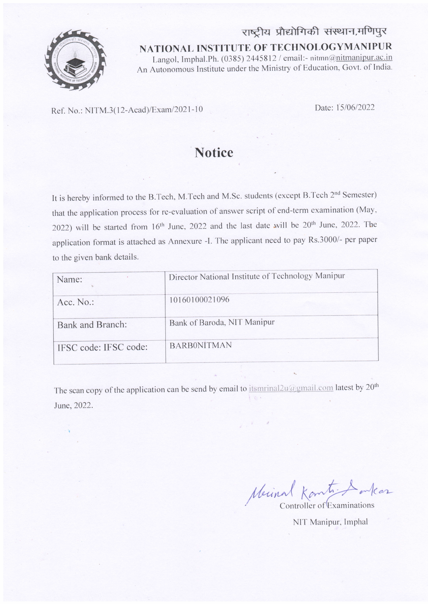

राष्ट्रीय प्रौद्योगिकी संस्थान,मणिपुर NATIONAL INSTITUTE OF TECHNOLOGYMANIPUR Langol, Imphal.Ph. (0385) 2445812 / email:- nitmn@nitmanipur.ac.in An Autonomous Institute under the Ministry of Education, Govt. of India.

Ref. No.: NITM.3(12-Acad)/Exam/2021-10

Date: 15/06/2022

# **Notice**

It is hereby informed to the B.Tech, M.Tech and M.Sc. students (except B.Tech 2<sup>nd</sup> Semester) that the application process for re-evaluation of answer script of end-term examination (May, 2022) will be started from 16<sup>th</sup> June, 2022 and the last date will be 20<sup>th</sup> June, 2022. The application format is attached as Annexure -I. The applicant need to pay Rs.3000/- per paper to the given bank details.

| Name:                   | Director National Institute of Technology Manipur |
|-------------------------|---------------------------------------------------|
| $Acc. No.$ :            | 10160100021096                                    |
| <b>Bank and Branch:</b> | Bank of Baroda, NIT Manipur                       |
| IFSC code: IFSC code:   | <b>BARBONITMAN</b>                                |

The scan copy of the application can be send by email to itsmrinal 2u@gmail.com latest by 20<sup>th</sup> June, 2022.

Merinal Komtination

NIT Manipur, Imphal